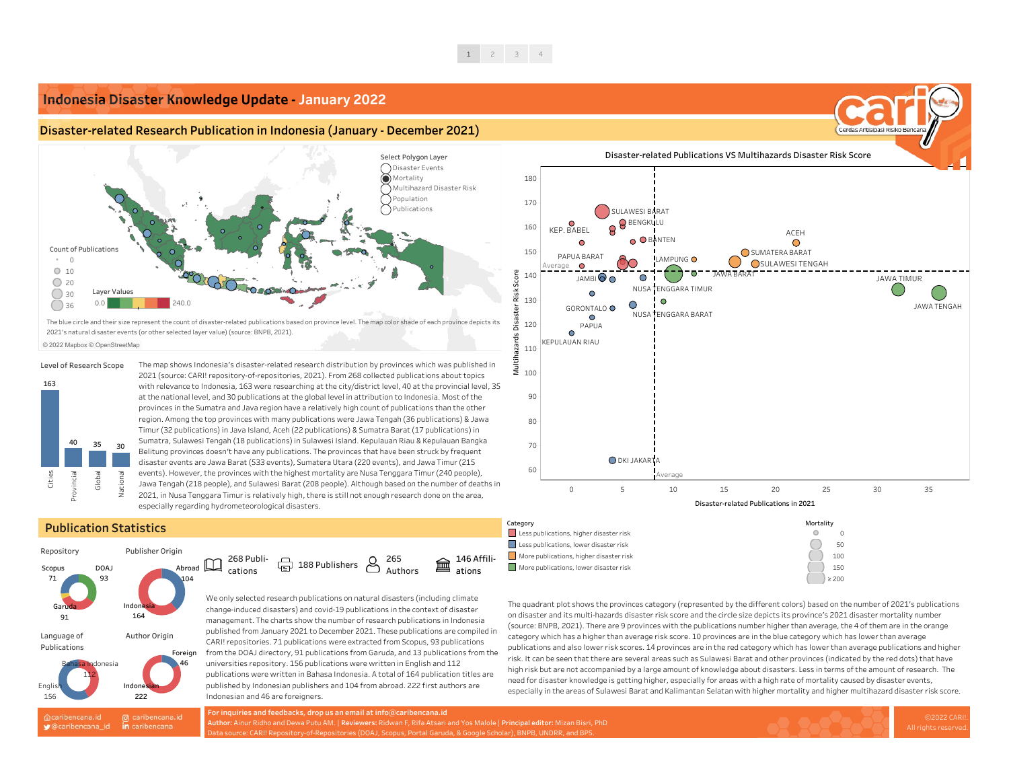

# **Publication Statistics**

The map shows Indonesia's disaster-related research distribution by provinces which was published in 2021 (source: CARI! repository-of-repositories, 2021). From 268 collected publications about topics with relevance to Indonesia, 163 were researching at the city/district level, 40 at the provincial level, 35 at the national level, and 30 publications at the global level in attribution to Indonesia. Most of the provinces in the Sumatra and Java region have a relatively high count of publications than the other region. Among the top provinces with many publications were Jawa Tengah (36 publications) & Jawa Timur (32 publications) in Java Island, Aceh (22 publications) & Sumatra Barat (17 publications) in Sumatra, Sulawesi Tengah (18 publications) in Sulawesi Island. Kepulauan Riau & Kepulauan Bangka Belitung provinces doesn't have any publications. The provinces that have been struck by frequent disaster events are Jawa Barat (533 events), Sumatera Utara (220 events), and Jawa Timur (215 events). However, the provinces with the highest mortality are Nusa Tenggara Timur (240 people), Jawa Tengah (218 people), and Sulawesi Barat (208 people). Although based on the number of deaths in 2021, in Nusa Tenggara Timur is relatively high, there is still not enough research done on the area,

especially regarding hydrometeorological disasters.

 $\bigoplus$  188 Publishers  $\bigotimes$ 

We only selected research publications on natural disasters (including climate change-induced disasters) and covid-19 publications in the context of disaster management. The charts show the number of research publications in Indonesia published from January 2021 to December 2021. These publications are compiled in CARI! repositories. 71 publications were extracted from Scopus, 93 publications from the DOAJ directory, 91 publications from Garuda, and 13 publications from the universities repository. 156 publications were written in English and 112 publications were written in Bahasa Indonesia. A total of 164 publication titles are published by Indonesian publishers and 104 from abroad. 222 first authors are Indonesian and 46 are foreigners.

The quadrant plot shows the provinces category (represented by the different colors) based on the number of 2021's publications on disaster and its multi-hazards disaster risk score and the circle size depicts its province's 2021 disaster mortality number (source: BNPB, 2021). There are 9 provinces with the publications number higher than average, the 4 of them are in the orange category which has a higher than average risk score. 10 provinces are in the blue category which has lower than average publications and also lower risk scores. 14 provinces are in the red category which has lower than average publications and higher risk. It can be seen that there are several areas such as Sulawesi Barat and other provinces (indicated by the red dots) that have high risk but are not accompanied by a large amount of knowledge about disasters. Less in terms of the amount of research. The need for disaster knowledge is getting higher, especially for areas with a high rate of mortality caused by disaster events, especially in the areas of Sulawesi Barat and Kalimantan Selatan with higher mortality and higher multihazard disaster risk score.





### **Level of Research Scope**

© 2022 Mapbox © OpenStreetMap

268 Publications

265 Authors 146 Affiliations

- 
- 
- 
- 

### Category



# **Indonesia Disaster Knowledge Update - January 2022**

# **Disaster-related Research Publication in Indonesia (January - December 2021)**

**For inquiries and feedbacks, drop us an email at info@caribencana.id Author:** Ainur Ridho and Dewa Putu AM. | **Reviewers:** Ridwan F, Rifa Atsari and Yos Malole | **Principal editor:** Mizan Bisri, PhD Data source: CARI! Repository-of-Repositories (DOAJ, Scopus, Portal Garuda, & Google Scholar), BNPB, UNDRR, and BPS.



The blue circle and their size represent the count of disaster-related publications based on province level. The map color shade of each province depicts its 2021's natural disaster events (or other selected layer value) (source: BNPB, 2021).

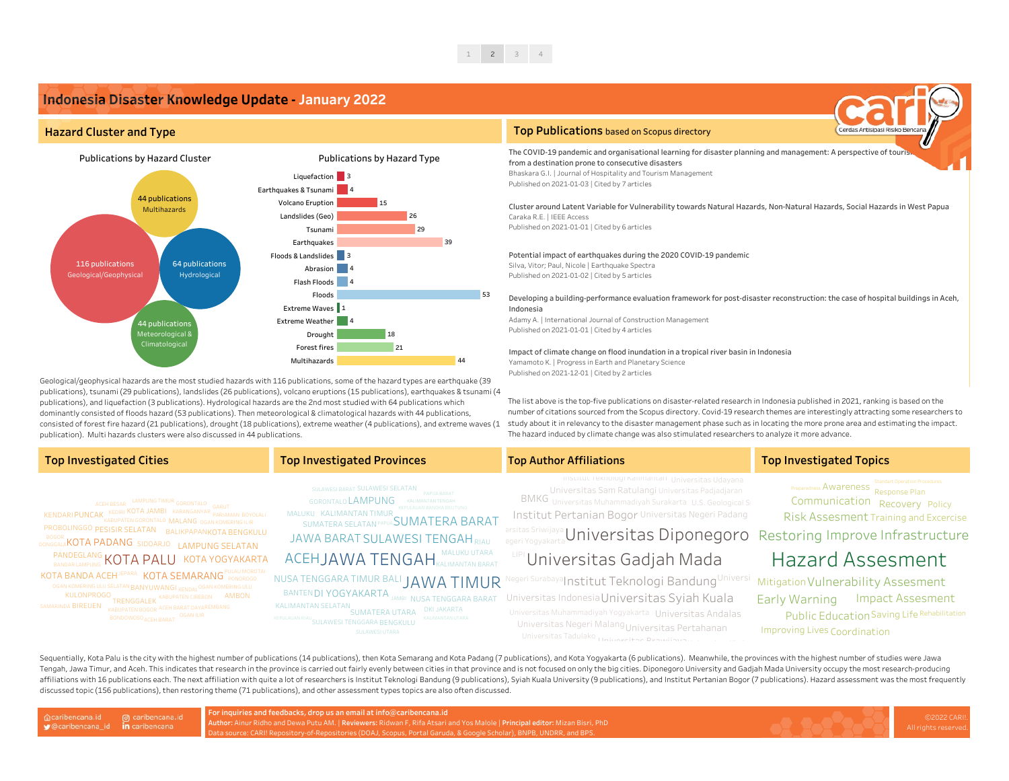The list above is the top-five publications on disaster-related research in Indonesia published in 2021, ranking is based on the number of citations sourced from the Scopus directory. Covid-19 research themes are interestingly attracting some researchers to study about it in relevancy to the disaster management phase such as in locating the more prone area and estimating the impact. The hazard induced by climate change was also stimulated researchers to analyze it more advance.

The COVID-19 pandemic and [organisational](https://www.scopus.com/record/display.uri?eid=2-s2.0-85100003268&origin=inward&txGid=63b64ada740d4eca1836e70545146399) learning for disaster planning and management: A perspective of touris from a destination prone to consecutive disasters Bhaskara G.I. | Journal of Hospitality and Tourism Management Published on 2021-01-03 | Cited by 7 articles

Geological/geophysical hazards are the most studied hazards with 116 publications, some of the hazard types are earthquake (39 publications), tsunami (29 publications), landslides (26 publications), volcano eruptions (15 publications), earthquakes & tsunami (4 publications), and liquefaction (3 publications). Hydrological hazards are the 2nd most studied with 64 publications which dominantly consisted of floods hazard (53 publications). Then meteorological & climatological hazards with 44 publications, consisted of forest fire hazard (21 publications), drought (18 publications), extreme weather (4 publications), and extreme waves (1 publication). Multi hazards clusters were also discussed in 44 publications.

# $T$ op Investigated Cities **Top Investigated** Provinces **Top** Author Affiliations **Top** Investigated Topics

Potential impact of [earthquakes](https://journals.sagepub.com/doi/10.1177/8755293020950328) during the 2020 COVID-19 pandemic Silva, Vitor; Paul, Nicole | Earthquake Spectra Published on 2021-01-02 | Cited by 5 articles

# Impact of climate change on flood [inundation](https://www.scopus.com/record/display.uri?eid=2-s2.0-85098713262&origin=inward&txGid=4ffeb941eaaabfc5f5e78dd405efc389) in a tropical river basin in Indonesia

Yamamoto K. | Progress in Earth and Planetary Science Published on 2021-12-01 | Cited by 2 articles

SUMATERA UTARA PRIJANAKIA<br>KEPULAUAN RIAU<sub>OLU ANTERITENGGA DA DELLOLULU</sub> KALIMANTAN UTARA SULAWESI UTARA SULAWESI TENGGARA BENGKULU

Developing a [building-performance](https://www.scopus.com/record/display.uri?eid=2-s2.0-85057343734&origin=inward&txGid=89a5dcfdc4333f1e7c64b4dd510b54ea) evaluation framework for post-disaster reconstruction: the case of hospital buildings in Aceh,

Risk Assesment Training and Excercise

# Indonesia

Adamy A. | International Journal of Construction Management Published on 2021-01-01 | Cited by 4 articles

Cluster around Latent Variable for [Vulnerability](https://www.scopus.com/record/display.uri?eid=2-s2.0-85097131535&origin=inward&txGid=8c72db3e3284ef646a1d337a88d1cc52) towards Natural Hazards, Non-Natural Hazards, Social Hazards in West Papua Caraka R.E. | IEEE Access Published on 2021-01-01 | Cited by 6 articles

# **Top Publications** based on Scopus directory

KULONPROGO<br>KABUPATENT TRENGGALEK <sup>KABUPATEN CIREBON</sup> AMBON DONGGALAKOTA PADANG SIDOARJO LAMPUNG SELATAN SAMARINDA BIREUEN KABUPATEN BOGOR ACEH BARAT DAYAREMBANG KENDARI PUNCAK KEDIRI KOTA JAMBI KARANGANYAR PARIAMAN PROBOLINGGO PESISIR SELATAN BALIKPAPANKOTA BENGKULU KOTA BANDA ACEH<sup>JEPARA</sup> KOTA SEMARANG PONOROGO PANDEGLANG KOTA PALU KOTA YOGYAKARTA OGAN KOMERING ULU SELATAN BANYUWANG I <sub>KENDAL</sub> OGAN KOMERING ULU KABUPATEN GORONTALO MALANG OGAN KOMERING ILIR BONDOWOSO <sub>ACEH BARAT</sub>OGAN ILIR LAMPUNG TIMUR GORONTALO ACEH BESAR

SUMATERA SELATAN PAPUA $\mathsf{SUMATERA}\ \mathsf{BARAT}$ JAWA BARAT SULAWESI TENGAH RIAU SULAWESI BARAT SULAWESI SELATAN PAPUA BARAT NUSA TENGGARA TIMUR BALI JAWA TIMUR MALUKU UTARA MALUKU KALIMANTAN TIMUR GORONTALO LAMPUNG KALIMANTAN TENGAH KALIMANTAN SELATAN DKI JAKARTA ACEHJAWA TENGAH MALUMO UTAKA



Sequentially, Kota Palu is the city with the highest number of publications (14 publications), then Kota Semarang and Kota Padang (7 publications), and Kota Yogyakarta (6 publications). Meanwhile, the provinces with the hi Tengah, Jawa Timur, and Aceh. This indicates that research in the province is carried out fairly evenly between cities in that province and is not focused on only the big cities. Diponegoro University and Gadjah Mada Unive affiliations with 16 publications each. The next affiliation with quite a lot of researchers is Institut Teknologi Bandung (9 publications), Syiah Kuala University (9 publications), and Institut Pertanian Bogor (7 publicat discussed topic (156 publications), then restoring theme (71 publications), and other assessment types topics are also often discussed.

@ caribencana.id caribencana.id ● @caribencana\_id in caribencana

## **Hazard Cluster and Type**

# **Indonesia Disaster Knowledge Update - January 2022**

**For inquiries and feedbacks, drop us an email at info@caribencana.id**

**Author:** Ainur Ridho and Dewa Putu AM. | **Reviewers:** Ridwan F, Rifa Atsari and Yos Malole | **Principal editor:** Mizan Bisri, PhD Data source: CARI! Repository-of-Repositories (DOAJ, Scopus, Portal Garuda, & Google Scholar), BNPB, UNDRR, and BPS.

BANTEN DI YOGYAKARTA JAMBI NUSA TENGGARA BARAT Universitas Indonesia Universitas Syiah Kuala Universi Mitigation Vulnerability Assesment Public Education Saving Life Rehabilitation **Restas Sriwijaya** Universitas Diponegoro Restoring Improve Infrastructure Preparedness Awareness<br>Response Plan Communication Recovery Policy Improving Lives Coordination Early Warning Impact Assesment Hazard Assesment Institut Teknologi Kalimantan Universitas Udayana Universitas Tadulako <sub>Ulbiwarej</sub> tan Prawijaya. Universitas Sam Ratulangi Universitas Padjadjaran Universitas Negeri Malang<sub>Universitas</sub> Pertahanan AH<sub>RIAU</sub> arsitas Sriwijaya Universitas Diponegoro MUR Negeri Surabaya Institut Teknologi Bandung Institut Pertanian Bogor Universitas Negeri Padang Universitas Muhammadiyah Yogyakarta Universitas Andalas BMKG Universitas Muhammadiyah Surakarta U.S. Geological Su Universitas Gadjah Mada LIPI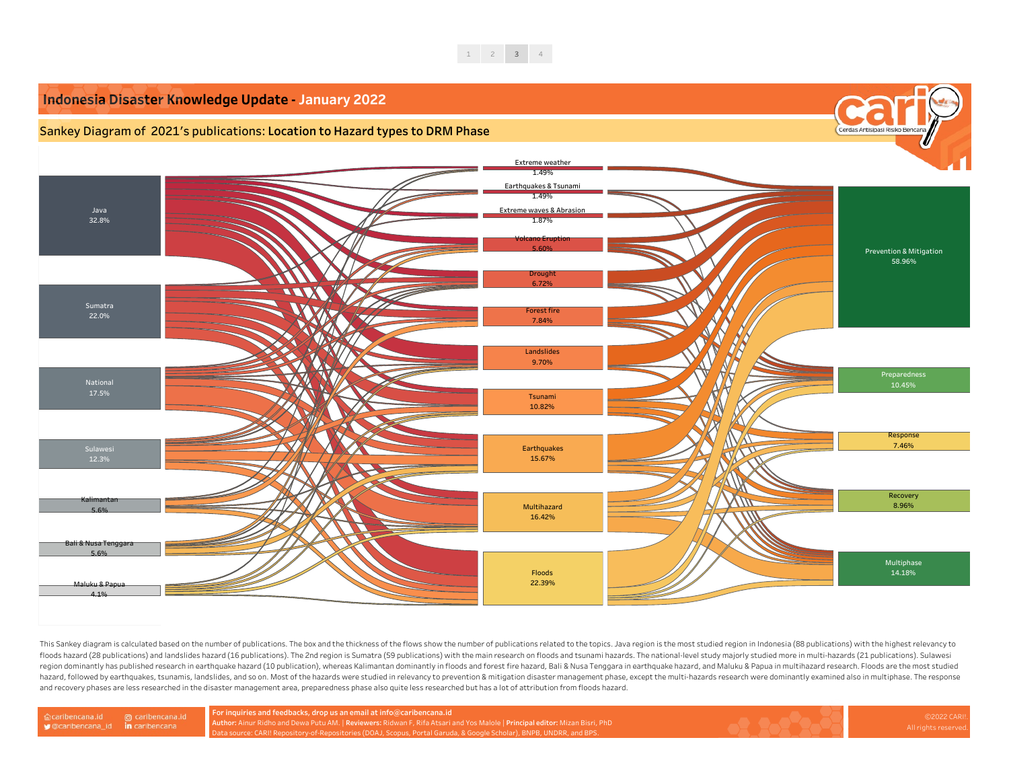

**For inquiries and feedbacks, drop us an email at info@caribencana.id**

**Author:** Ainur Ridho and Dewa Putu AM. | **Reviewers:** Ridwan F, Rifa Atsari and Yos Malole | **Principal editor:** Mizan Bisri, PhD Data source: CARI! Repository-of-Repositories (DOAJ, Scopus, Portal Garuda, & Google Scholar), BNPB, UNDRR, and BPS.





This Sankey diagram is calculated based on the number of publications. The box and the thickness of the flows show the number of publications related to the topics. Java region is the most studied region in Indonesia (88 p floods hazard (28 publications) and landslides hazard (16 publications). The 2nd region is Sumatra (59 publications) with the main research on floods and tsunami hazards. The national-level study majorly studied more in mu region dominantly has published research in earthquake hazard (10 publication), whereas Kalimantan dominantly in floods and forest fire hazard, Bali & Nusa Tenggara in earthquake hazard, and Maluku & Papua in multihazard r hazard, followed by earthquakes, tsunamis, landslides, and so on. Most of the hazards were studied in relevancy to prevention & mitigation disaster management phase, except the multi-hazards research were dominantly examin and recovery phases are less researched in the disaster management area, preparedness phase also quite less researched but has a lot of attribution from floods hazard.

@ caribencana.id Caribencana.id in caribencana ♥ @caribencana\_id